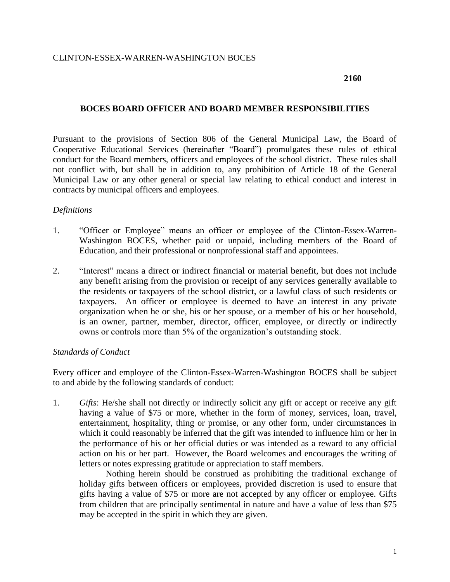#### **2160**

### **BOCES BOARD OFFICER AND BOARD MEMBER RESPONSIBILITIES**

Pursuant to the provisions of Section 806 of the General Municipal Law, the Board of Cooperative Educational Services (hereinafter "Board") promulgates these rules of ethical conduct for the Board members, officers and employees of the school district. These rules shall not conflict with, but shall be in addition to, any prohibition of Article 18 of the General Municipal Law or any other general or special law relating to ethical conduct and interest in contracts by municipal officers and employees.

### *Definitions*

- 1. "Officer or Employee" means an officer or employee of the Clinton-Essex-Warren-Washington BOCES, whether paid or unpaid, including members of the Board of Education, and their professional or nonprofessional staff and appointees.
- 2. "Interest" means a direct or indirect financial or material benefit, but does not include any benefit arising from the provision or receipt of any services generally available to the residents or taxpayers of the school district, or a lawful class of such residents or taxpayers. An officer or employee is deemed to have an interest in any private organization when he or she, his or her spouse, or a member of his or her household, is an owner, partner, member, director, officer, employee, or directly or indirectly owns or controls more than 5% of the organization's outstanding stock.

#### *Standards of Conduct*

Every officer and employee of the Clinton-Essex-Warren-Washington BOCES shall be subject to and abide by the following standards of conduct:

1. *Gifts*: He/she shall not directly or indirectly solicit any gift or accept or receive any gift having a value of \$75 or more, whether in the form of money, services, loan, travel, entertainment, hospitality, thing or promise, or any other form, under circumstances in which it could reasonably be inferred that the gift was intended to influence him or her in the performance of his or her official duties or was intended as a reward to any official action on his or her part. However, the Board welcomes and encourages the writing of letters or notes expressing gratitude or appreciation to staff members.

Nothing herein should be construed as prohibiting the traditional exchange of holiday gifts between officers or employees, provided discretion is used to ensure that gifts having a value of \$75 or more are not accepted by any officer or employee. Gifts from children that are principally sentimental in nature and have a value of less than \$75 may be accepted in the spirit in which they are given.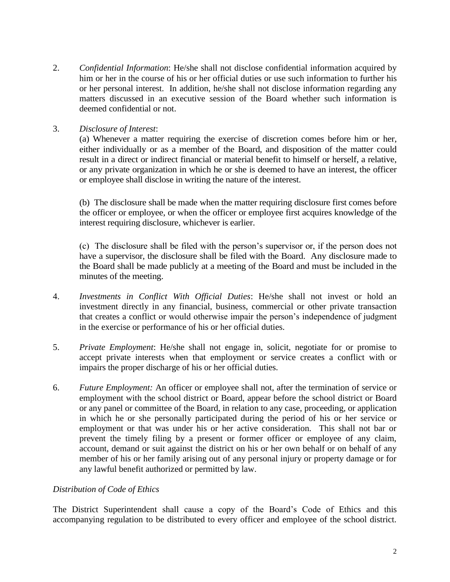2. *Confidential Information*: He/she shall not disclose confidential information acquired by him or her in the course of his or her official duties or use such information to further his or her personal interest. In addition, he/she shall not disclose information regarding any matters discussed in an executive session of the Board whether such information is deemed confidential or not.

# 3. *Disclosure of Interest*:

(a) Whenever a matter requiring the exercise of discretion comes before him or her, either individually or as a member of the Board, and disposition of the matter could result in a direct or indirect financial or material benefit to himself or herself, a relative, or any private organization in which he or she is deemed to have an interest, the officer or employee shall disclose in writing the nature of the interest.

(b) The disclosure shall be made when the matter requiring disclosure first comes before the officer or employee, or when the officer or employee first acquires knowledge of the interest requiring disclosure, whichever is earlier.

(c) The disclosure shall be filed with the person's supervisor or, if the person does not have a supervisor, the disclosure shall be filed with the Board. Any disclosure made to the Board shall be made publicly at a meeting of the Board and must be included in the minutes of the meeting.

- 4. *Investments in Conflict With Official Duties*: He/she shall not invest or hold an investment directly in any financial, business, commercial or other private transaction that creates a conflict or would otherwise impair the person's independence of judgment in the exercise or performance of his or her official duties.
- 5. *Private Employment*: He/she shall not engage in, solicit, negotiate for or promise to accept private interests when that employment or service creates a conflict with or impairs the proper discharge of his or her official duties.
- 6. *Future Employment:* An officer or employee shall not, after the termination of service or employment with the school district or Board, appear before the school district or Board or any panel or committee of the Board, in relation to any case, proceeding, or application in which he or she personally participated during the period of his or her service or employment or that was under his or her active consideration. This shall not bar or prevent the timely filing by a present or former officer or employee of any claim, account, demand or suit against the district on his or her own behalf or on behalf of any member of his or her family arising out of any personal injury or property damage or for any lawful benefit authorized or permitted by law.

## *Distribution of Code of Ethics*

The District Superintendent shall cause a copy of the Board's Code of Ethics and this accompanying regulation to be distributed to every officer and employee of the school district.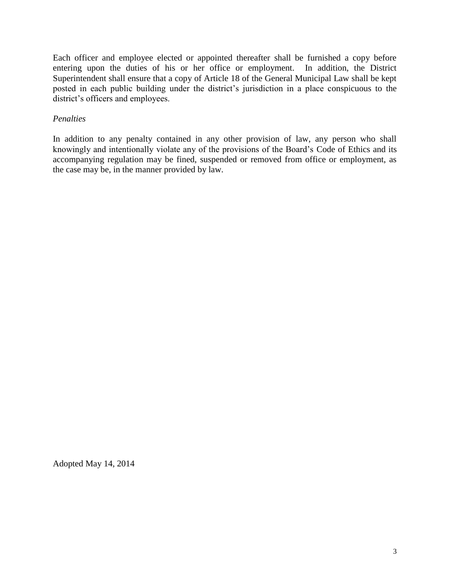Each officer and employee elected or appointed thereafter shall be furnished a copy before entering upon the duties of his or her office or employment. In addition, the District Superintendent shall ensure that a copy of Article 18 of the General Municipal Law shall be kept posted in each public building under the district's jurisdiction in a place conspicuous to the district's officers and employees.

# *Penalties*

In addition to any penalty contained in any other provision of law, any person who shall knowingly and intentionally violate any of the provisions of the Board's Code of Ethics and its accompanying regulation may be fined, suspended or removed from office or employment, as the case may be, in the manner provided by law.

Adopted May 14, 2014